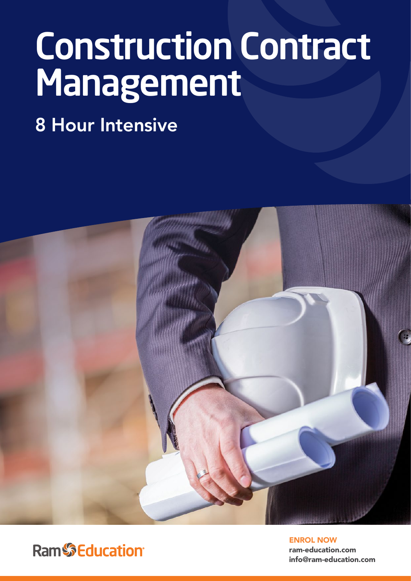# Construction Contract Management

8 Hour Intensive



**Ram**SEducation®

ENROL NOW ram-education.com info@ram-education.com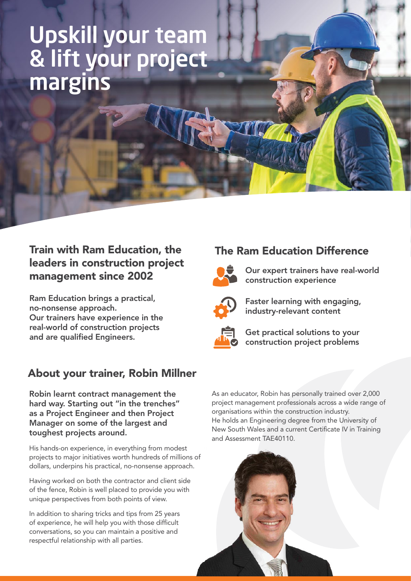### Upskill your team & lift your project margins

#### Train with Ram Education, the leaders in construction project management since 2002

Ram Education brings a practical, no-nonsense approach. Our trainers have experience in the real-world of construction projects and are qualified Engineers.

### About your trainer, Robin Millner

Robin learnt contract management the hard way. Starting out "in the trenches" as a Project Engineer and then Project Manager on some of the largest and toughest projects around.

His hands-on experience, in everything from modest projects to major initiatives worth hundreds of millions of dollars, underpins his practical, no-nonsense approach.

Having worked on both the contractor and client side of the fence, Robin is well placed to provide you with unique perspectives from both points of view.

In addition to sharing tricks and tips from 25 years of experience, he will help you with those difficult conversations, so you can maintain a positive and respectful relationship with all parties.

#### The Ram Education Difference



Our expert trainers have real-world construction experience



Faster learning with engaging, industry-relevant content



Get practical solutions to your construction project problems

As an educator, Robin has personally trained over 2,000 project management professionals across a wide range of organisations within the construction industry. He holds an Engineering degree from the University of New South Wales and a current Certificate IV in Training and Assessment TAE40110.

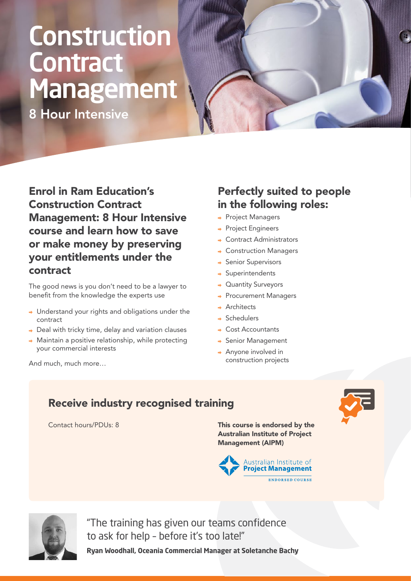## **Construction Contract** Management

8 Hour Intensive

Enrol in Ram Education's Construction Contract Management: 8 Hour Intensive course and learn how to save or make money by preserving your entitlements under the contract

The good news is you don't need to be a lawyer to benefit from the knowledge the experts use

- → Understand your rights and obligations under the contract
- $\rightarrow$  Deal with tricky time, delay and variation clauses
- $\rightarrow$  Maintain a positive relationship, while protecting your commercial interests

#### Perfectly suited to people in the following roles:

- $\rightarrow$  Project Managers
- $\rightarrow$  Project Engineers
- **→ Contract Administrators**
- **→ Construction Managers**
- $\rightarrow$  Senior Supervisors
- $\rightarrow$  Superintendents
- → Quantity Surveyors
- → Procurement Managers
- $\rightarrow$  Architects
- Schedulers
- **← Cost Accountants**
- → Senior Management
- $\rightarrow$  Anyone involved in construction projects

And much, much more…

#### Receive industry recognised training

Contact hours/PDUs: 8

This course is endorsed by the Australian Institute of Project Management (AIPM)





"The training has given our teams confidence to ask for help – before it's too late!"

**Ryan Woodhall, Oceania Commercial Manager at Soletanche Bachy**